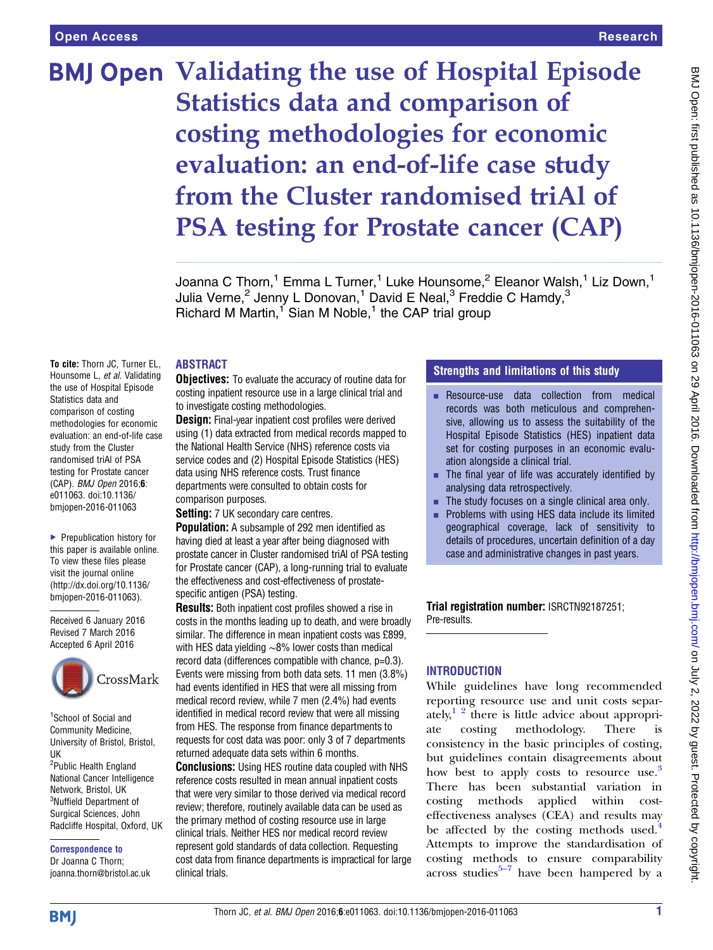# **BMJ Open Validating the use of Hospital Episode** Statistics data and comparison of costing methodologies for economic evaluation: an end-of-life case study from the Cluster randomised triAl of PSA testing for Prostate cancer (CAP)

Joanna C Thorn,<sup>1</sup> Emma L Turner,<sup>1</sup> Luke Hounsome,<sup>2</sup> Eleanor Walsh,<sup>1</sup> Liz Down,<sup>1</sup> Julia Verne,<sup>2</sup> Jenny L Donovan,<sup>1</sup> David E Neal,<sup>3</sup> Freddie C Hamdy,<sup>3</sup> Richard M Martin,<sup> $1$ </sup> Sian M Noble,<sup>1</sup> the CAP trial group

# ABSTRACT

To cite: Thorn JC, Turner EL, Hounsome L, et al. Validating the use of Hospital Episode Statistics data and comparison of costing methodologies for economic evaluation: an end-of-life case study from the Cluster randomised triAl of PSA testing for Prostate cancer (CAP). BMJ Open 2016;6: e011063. doi:10.1136/ bmjopen-2016-011063

▶ Prepublication history for this paper is available online. To view these files please visit the journal online [\(http://dx.doi.org/10.1136/](http://dx.doi.org/10.1136/bmjopen-2016-011063) [bmjopen-2016-011063](http://dx.doi.org/10.1136/bmjopen-2016-011063)).

Received 6 January 2016 Revised 7 March 2016 Accepted 6 April 2016



1 School of Social and Community Medicine, University of Bristol, Bristol, UK <sup>2</sup>Public Health England National Cancer Intelligence Network, Bristol, UK 3 Nuffield Department of Surgical Sciences, John Radcliffe Hospital, Oxford, UK

# Correspondence to

Dr Joanna C Thorn; joanna.thorn@bristol.ac.uk **Objectives:** To evaluate the accuracy of routine data for costing inpatient resource use in a large clinical trial and to investigate costing methodologies.

**Design:** Final-year inpatient cost profiles were derived using (1) data extracted from medical records mapped to the National Health Service (NHS) reference costs via service codes and (2) Hospital Episode Statistics (HES) data using NHS reference costs. Trust finance departments were consulted to obtain costs for comparison purposes.

Setting: 7 UK secondary care centres.

**Population:** A subsample of 292 men identified as having died at least a year after being diagnosed with prostate cancer in Cluster randomised triAl of PSA testing for Prostate cancer (CAP), a long-running trial to evaluate the effectiveness and cost-effectiveness of prostatespecific antigen (PSA) testing.

Results: Both inpatient cost profiles showed a rise in costs in the months leading up to death, and were broadly similar. The difference in mean inpatient costs was £899, with HES data yielding ~8% lower costs than medical record data (differences compatible with chance, p=0.3). Events were missing from both data sets. 11 men (3.8%) had events identified in HES that were all missing from medical record review, while 7 men (2.4%) had events identified in medical record review that were all missing from HES. The response from finance departments to requests for cost data was poor: only 3 of 7 departments returned adequate data sets within 6 months.

**Conclusions:** Using HES routine data coupled with NHS reference costs resulted in mean annual inpatient costs that were very similar to those derived via medical record review; therefore, routinely available data can be used as the primary method of costing resource use in large clinical trials. Neither HES nor medical record review represent gold standards of data collection. Requesting cost data from finance departments is impractical for large clinical trials.

# Strengths and limitations of this study

- Resource-use data collection from medical records was both meticulous and comprehensive, allowing us to assess the suitability of the Hospital Episode Statistics (HES) inpatient data set for costing purposes in an economic evaluation alongside a clinical trial.
- The final year of life was accurately identified by analysing data retrospectively.
- $\blacksquare$  The study focuses on a single clinical area only.
- $\blacksquare$  Problems with using HES data include its limited geographical coverage, lack of sensitivity to details of procedures, uncertain definition of a day case and administrative changes in past years.

Trial registration number: ISRCTN92187251; Pre-results.

# INTRODUCTION

While guidelines have long recommended reporting resource use and unit costs separately,<sup>1 2</sup> there is little advice about appropriate costing methodology. There is consistency in the basic principles of costing, but guidelines contain disagreements about how best to apply costs to resource use.<sup>[3](#page-5-0)</sup> There has been substantial variation in costing methods applied within costeffectiveness analyses (CEA) and results may be affected by the costing methods used. $4$ Attempts to improve the standardisation of costing met[hod](#page-5-0)s to ensure comparability across studies<sup>5–7</sup> have been hampered by a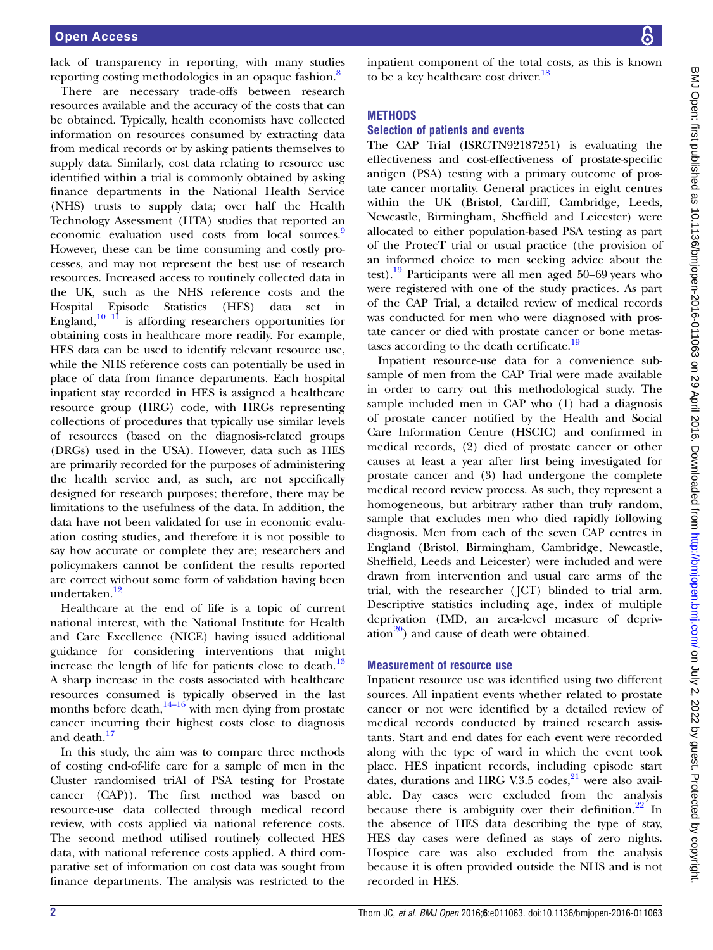lack of transparency in reporting, with many studies reporting costing methodologies in an opaque fashion.<sup>[8](#page-5-0)</sup>

There are necessary trade-offs between research resources available and the accuracy of the costs that can be obtained. Typically, health economists have collected information on resources consumed by extracting data from medical records or by asking patients themselves to supply data. Similarly, cost data relating to resource use identified within a trial is commonly obtained by asking finance departments in the National Health Service (NHS) trusts to supply data; over half the Health Technology Assessment (HTA) studies that reported an economic evaluation used costs from local sources.<sup>[9](#page-5-0)</sup> However, these can be time consuming and costly processes, and may not represent the best use of research resources. Increased access to routinely collected data in the UK, such as the NHS reference costs and the Hospital Episode Statistics (HES) data set in England, $\frac{10 \text{ } 11}{10 \text{ }}$  is affording researchers opportunities for obtaining costs in healthcare more readily. For example, HES data can be used to identify relevant resource use, while the NHS reference costs can potentially be used in place of data from finance departments. Each hospital inpatient stay recorded in HES is assigned a healthcare resource group (HRG) code, with HRGs representing collections of procedures that typically use similar levels of resources (based on the diagnosis-related groups (DRGs) used in the USA). However, data such as HES are primarily recorded for the purposes of administering the health service and, as such, are not specifically designed for research purposes; therefore, there may be limitations to the usefulness of the data. In addition, the data have not been validated for use in economic evaluation costing studies, and therefore it is not possible to say how accurate or complete they are; researchers and policymakers cannot be confident the results reported are correct without some form of validation having been undertaken.<sup>[12](#page-5-0)</sup>

Healthcare at the end of life is a topic of current national interest, with the National Institute for Health and Care Excellence (NICE) having issued additional guidance for considering interventions that might increase the length of life for patients close to death.<sup>[13](#page-5-0)</sup> A sharp increase in the costs associated with healthcare resources consumed is typically observed in the last months before death, $14-16$  $14-16$  with men dying from prostate cancer incurring their highest costs close to diagnosis and death.<sup>[17](#page-5-0)</sup>

In this study, the aim was to compare three methods of costing end-of-life care for a sample of men in the Cluster randomised triAl of PSA testing for Prostate cancer (CAP)). The first method was based on resource-use data collected through medical record review, with costs applied via national reference costs. The second method utilised routinely collected HES data, with national reference costs applied. A third comparative set of information on cost data was sought from finance departments. The analysis was restricted to the

inpatient component of the total costs, as this is known to be a key healthcare cost driver.<sup>[18](#page-5-0)</sup>

# **METHODS**

# Selection of patients and events

The CAP Trial (ISRCTN92187251) is evaluating the effectiveness and cost-effectiveness of prostate-specific antigen (PSA) testing with a primary outcome of prostate cancer mortality. General practices in eight centres within the UK (Bristol, Cardiff, Cambridge, Leeds, Newcastle, Birmingham, Sheffield and Leicester) were allocated to either population-based PSA testing as part of the ProtecT trial or usual practice (the provision of an informed choice to men seeking advice about the test).<sup>19</sup> Participants were all men aged 50–69 years who were registered with one of the study practices. As part of the CAP Trial, a detailed review of medical records was conducted for men who were diagnosed with prostate cancer or died with prostate cancer or bone metas-tases according to the death certificate.<sup>[19](#page-5-0)</sup>

Inpatient resource-use data for a convenience subsample of men from the CAP Trial were made available in order to carry out this methodological study. The sample included men in CAP who (1) had a diagnosis of prostate cancer notified by the Health and Social Care Information Centre (HSCIC) and confirmed in medical records, (2) died of prostate cancer or other causes at least a year after first being investigated for prostate cancer and (3) had undergone the complete medical record review process. As such, they represent a homogeneous, but arbitrary rather than truly random, sample that excludes men who died rapidly following diagnosis. Men from each of the seven CAP centres in England (Bristol, Birmingham, Cambridge, Newcastle, Sheffield, Leeds and Leicester) were included and were drawn from intervention and usual care arms of the trial, with the researcher ( JCT) blinded to trial arm. Descriptive statistics including age, index of multiple deprivation (IMD, an area-level measure of depriv-ation<sup>[20](#page-5-0)</sup>) and cause of death were obtained.

# Measurement of resource use

Inpatient resource use was identified using two different sources. All inpatient events whether related to prostate cancer or not were identified by a detailed review of medical records conducted by trained research assistants. Start and end dates for each event were recorded along with the type of ward in which the event took place. HES inpatient records, including episode start dates, durations and HRG V.3.5 codes, $21$  were also available. Day cases were excluded from the analysis because there is ambiguity over their definition. $22$  In the absence of HES data describing the type of stay, HES day cases were defined as stays of zero nights. Hospice care was also excluded from the analysis because it is often provided outside the NHS and is not recorded in HES.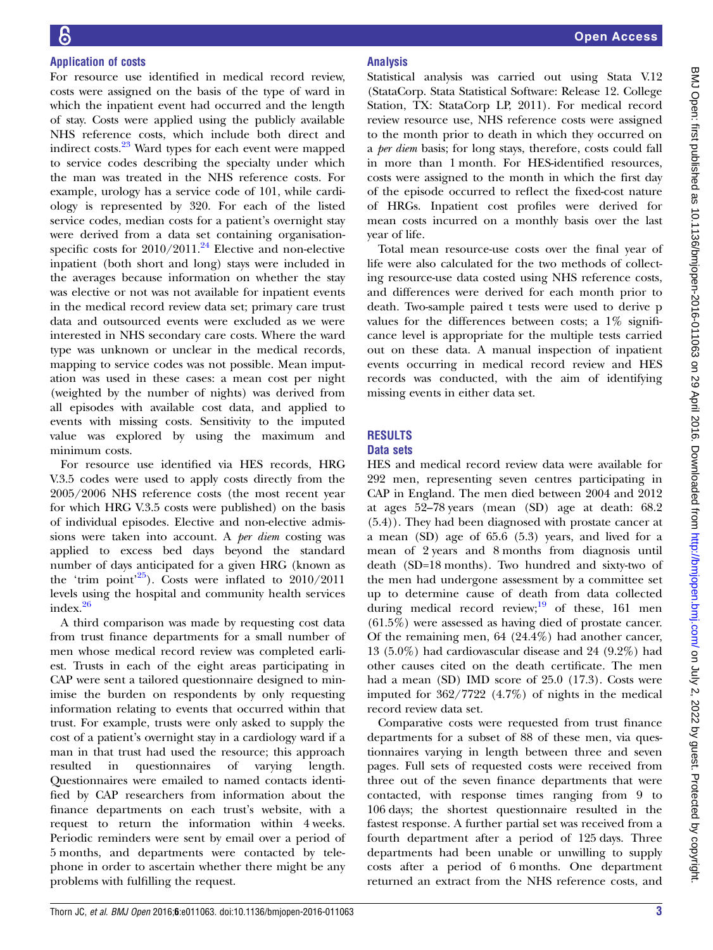# Application of costs

For resource use identified in medical record review, costs were assigned on the basis of the type of ward in which the inpatient event had occurred and the length of stay. Costs were applied using the publicly available NHS reference costs, which include both direct and indirect costs.<sup>[23](#page-5-0)</sup> Ward types for each event were mapped to service codes describing the specialty under which the man was treated in the NHS reference costs. For example, urology has a service code of 101, while cardiology is represented by 320. For each of the listed service codes, median costs for a patient's overnight stay were derived from a data set containing organisationspecific costs for  $2010/2011$ .<sup>[24](#page-5-0)</sup> Elective and non-elective inpatient (both short and long) stays were included in the averages because information on whether the stay was elective or not was not available for inpatient events in the medical record review data set; primary care trust data and outsourced events were excluded as we were interested in NHS secondary care costs. Where the ward type was unknown or unclear in the medical records, mapping to service codes was not possible. Mean imputation was used in these cases: a mean cost per night (weighted by the number of nights) was derived from all episodes with available cost data, and applied to events with missing costs. Sensitivity to the imputed value was explored by using the maximum and minimum costs.

For resource use identified via HES records, HRG V.3.5 codes were used to apply costs directly from the 2005/2006 NHS reference costs (the most recent year for which HRG V.3.5 costs were published) on the basis of individual episodes. Elective and non-elective admissions were taken into account. A per diem costing was applied to excess bed days beyond the standard number of days anticipated for a given HRG (known as the 'trim point'<sup>[25](#page-5-0)</sup>). Costs were inflated to  $2010/2011$ levels using the hospital and community health services index.[26](#page-5-0)

A third comparison was made by requesting cost data from trust finance departments for a small number of men whose medical record review was completed earliest. Trusts in each of the eight areas participating in CAP were sent a tailored questionnaire designed to minimise the burden on respondents by only requesting information relating to events that occurred within that trust. For example, trusts were only asked to supply the cost of a patient's overnight stay in a cardiology ward if a man in that trust had used the resource; this approach resulted in questionnaires of varying length. Questionnaires were emailed to named contacts identified by CAP researchers from information about the finance departments on each trust's website, with a request to return the information within 4 weeks. Periodic reminders were sent by email over a period of 5 months, and departments were contacted by telephone in order to ascertain whether there might be any problems with fulfilling the request.

# Analysis

Statistical analysis was carried out using Stata V.12 (StataCorp. Stata Statistical Software: Release 12. College Station, TX: StataCorp LP, 2011). For medical record review resource use, NHS reference costs were assigned to the month prior to death in which they occurred on a per diem basis; for long stays, therefore, costs could fall in more than 1 month. For HES-identified resources, costs were assigned to the month in which the first day of the episode occurred to reflect the fixed-cost nature of HRGs. Inpatient cost profiles were derived for mean costs incurred on a monthly basis over the last year of life.

Total mean resource-use costs over the final year of life were also calculated for the two methods of collecting resource-use data costed using NHS reference costs, and differences were derived for each month prior to death. Two-sample paired t tests were used to derive p values for the differences between costs; a 1% significance level is appropriate for the multiple tests carried out on these data. A manual inspection of inpatient events occurring in medical record review and HES records was conducted, with the aim of identifying missing events in either data set.

# RESULTS

# Data sets

HES and medical record review data were available for 292 men, representing seven centres participating in CAP in England. The men died between 2004 and 2012 at ages 52–78 years (mean (SD) age at death: 68.2 (5.4)). They had been diagnosed with prostate cancer at a mean (SD) age of 65.6 (5.3) years, and lived for a mean of 2 years and 8 months from diagnosis until death (SD=18 months). Two hundred and sixty-two of the men had undergone assessment by a committee set up to determine cause of death from data collected during medical record review; $\frac{19}{19}$  of these, 161 men (61.5%) were assessed as having died of prostate cancer. Of the remaining men, 64 (24.4%) had another cancer, 13 (5.0%) had cardiovascular disease and 24 (9.2%) had other causes cited on the death certificate. The men had a mean (SD) IMD score of 25.0 (17.3). Costs were imputed for 362/7722 (4.7%) of nights in the medical record review data set.

Comparative costs were requested from trust finance departments for a subset of 88 of these men, via questionnaires varying in length between three and seven pages. Full sets of requested costs were received from three out of the seven finance departments that were contacted, with response times ranging from 9 to 106 days; the shortest questionnaire resulted in the fastest response. A further partial set was received from a fourth department after a period of 125 days. Three departments had been unable or unwilling to supply costs after a period of 6 months. One department returned an extract from the NHS reference costs, and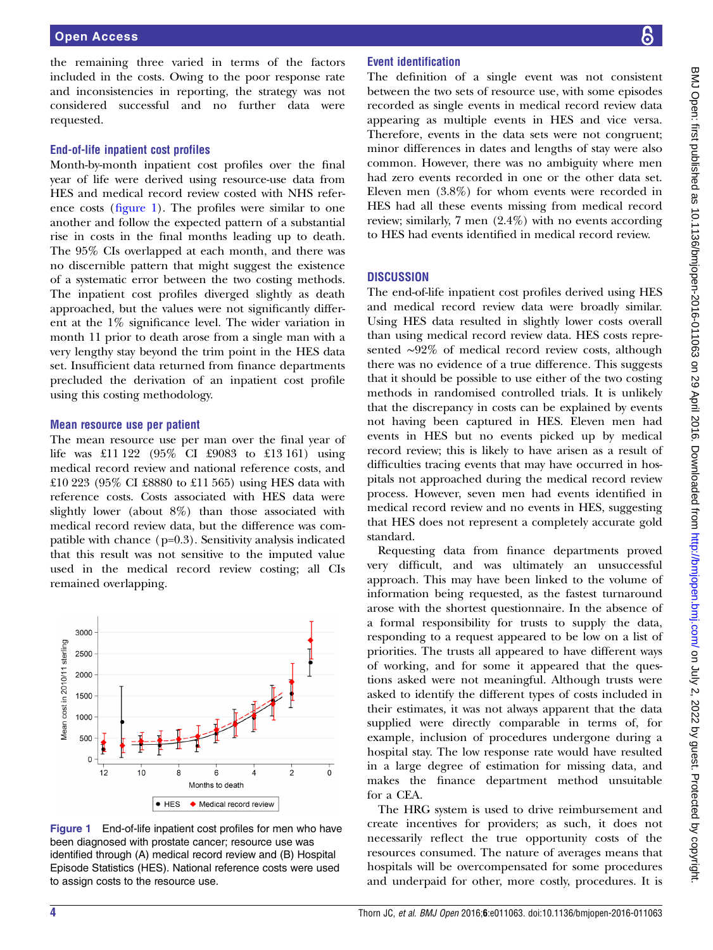the remaining three varied in terms of the factors included in the costs. Owing to the poor response rate and inconsistencies in reporting, the strategy was not considered successful and no further data were requested.

#### End-of-life inpatient cost profiles

Month-by-month inpatient cost profiles over the final year of life were derived using resource-use data from HES and medical record review costed with NHS reference costs (figure 1). The profiles were similar to one another and follow the expected pattern of a substantial rise in costs in the final months leading up to death. The 95% CIs overlapped at each month, and there was no discernible pattern that might suggest the existence of a systematic error between the two costing methods. The inpatient cost profiles diverged slightly as death approached, but the values were not significantly different at the 1% significance level. The wider variation in month 11 prior to death arose from a single man with a very lengthy stay beyond the trim point in the HES data set. Insufficient data returned from finance departments precluded the derivation of an inpatient cost profile using this costing methodology.

### Mean resource use per patient

The mean resource use per man over the final year of life was £11 122 (95% CI £9083 to £13 161) using medical record review and national reference costs, and £10 223 (95% CI £8880 to £11 565) using HES data with reference costs. Costs associated with HES data were slightly lower (about 8%) than those associated with medical record review data, but the difference was compatible with chance (p=0.3). Sensitivity analysis indicated that this result was not sensitive to the imputed value used in the medical record review costing; all CIs remained overlapping.



Figure 1 End-of-life inpatient cost profiles for men who have been diagnosed with prostate cancer; resource use was identified through (A) medical record review and (B) Hospital Episode Statistics (HES). National reference costs were used to assign costs to the resource use.

# Event identification

The definition of a single event was not consistent between the two sets of resource use, with some episodes recorded as single events in medical record review data appearing as multiple events in HES and vice versa. Therefore, events in the data sets were not congruent; minor differences in dates and lengths of stay were also common. However, there was no ambiguity where men had zero events recorded in one or the other data set. Eleven men (3.8%) for whom events were recorded in HES had all these events missing from medical record review; similarly, 7 men (2.4%) with no events according to HES had events identified in medical record review.

#### **DISCUSSION**

The end-of-life inpatient cost profiles derived using HES and medical record review data were broadly similar. Using HES data resulted in slightly lower costs overall than using medical record review data. HES costs represented ∼92% of medical record review costs, although there was no evidence of a true difference. This suggests that it should be possible to use either of the two costing methods in randomised controlled trials. It is unlikely that the discrepancy in costs can be explained by events not having been captured in HES. Eleven men had events in HES but no events picked up by medical record review; this is likely to have arisen as a result of difficulties tracing events that may have occurred in hospitals not approached during the medical record review process. However, seven men had events identified in medical record review and no events in HES, suggesting that HES does not represent a completely accurate gold standard.

Requesting data from finance departments proved very difficult, and was ultimately an unsuccessful approach. This may have been linked to the volume of information being requested, as the fastest turnaround arose with the shortest questionnaire. In the absence of a formal responsibility for trusts to supply the data, responding to a request appeared to be low on a list of priorities. The trusts all appeared to have different ways of working, and for some it appeared that the questions asked were not meaningful. Although trusts were asked to identify the different types of costs included in their estimates, it was not always apparent that the data supplied were directly comparable in terms of, for example, inclusion of procedures undergone during a hospital stay. The low response rate would have resulted in a large degree of estimation for missing data, and makes the finance department method unsuitable for a CEA.

The HRG system is used to drive reimbursement and create incentives for providers; as such, it does not necessarily reflect the true opportunity costs of the resources consumed. The nature of averages means that hospitals will be overcompensated for some procedures and underpaid for other, more costly, procedures. It is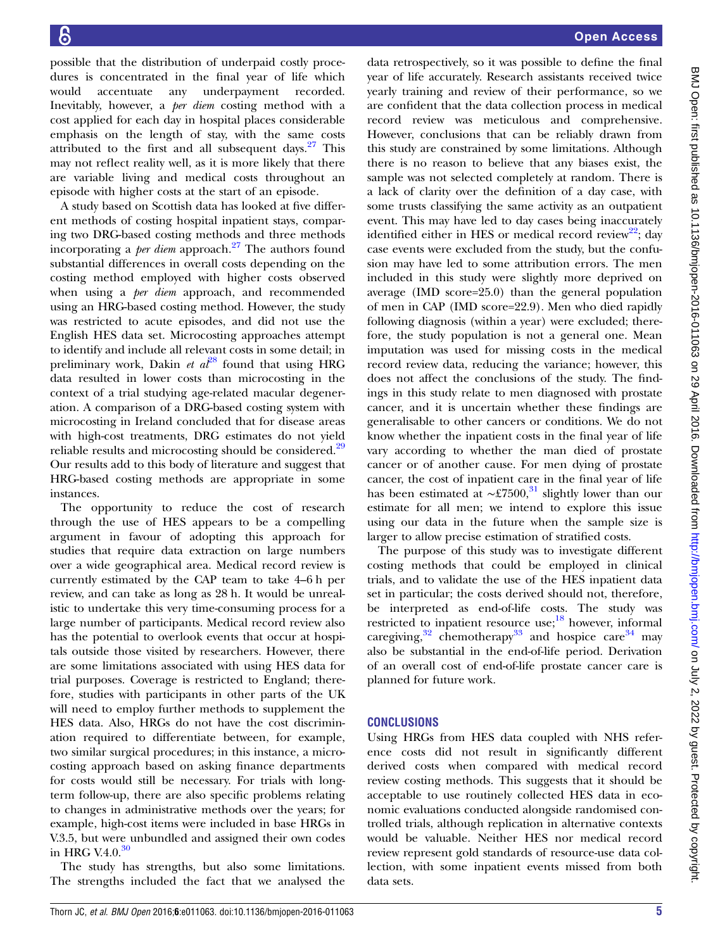possible that the distribution of underpaid costly procedures is concentrated in the final year of life which would accentuate any underpayment recorded. Inevitably, however, a per diem costing method with a cost applied for each day in hospital places considerable emphasis on the length of stay, with the same costs attributed to the first and all subsequent days. <sup>[27](#page-5-0)</sup> This may not reflect reality well, as it is more likely that there are variable living and medical costs throughout an episode with higher costs at the start of an episode.

A study based on Scottish data has looked at five different methods of costing hospital inpatient stays, comparing two DRG-based costing methods and three methods incorporating a *per diem* approach.<sup>[27](#page-5-0)</sup> The authors found substantial differences in overall costs depending on the costing method employed with higher costs observed when using a *per diem* approach, and recommended using an HRG-based costing method. However, the study was restricted to acute episodes, and did not use the English HES data set. Microcosting approaches attempt to identify and include all relevant costs in some detail; in preliminary work, Dakin et  $a^{28}$  $a^{28}$  $a^{28}$  found that using HRG data resulted in lower costs than microcosting in the context of a trial studying age-related macular degeneration. A comparison of a DRG-based costing system with microcosting in Ireland concluded that for disease areas with high-cost treatments, DRG estimates do not yield reliable results and microcosting should be considered.<sup>[29](#page-6-0)</sup> Our results add to this body of literature and suggest that HRG-based costing methods are appropriate in some instances.

The opportunity to reduce the cost of research through the use of HES appears to be a compelling argument in favour of adopting this approach for studies that require data extraction on large numbers over a wide geographical area. Medical record review is currently estimated by the CAP team to take 4–6 h per review, and can take as long as 28 h. It would be unrealistic to undertake this very time-consuming process for a large number of participants. Medical record review also has the potential to overlook events that occur at hospitals outside those visited by researchers. However, there are some limitations associated with using HES data for trial purposes. Coverage is restricted to England; therefore, studies with participants in other parts of the UK will need to employ further methods to supplement the HES data. Also, HRGs do not have the cost discrimination required to differentiate between, for example, two similar surgical procedures; in this instance, a microcosting approach based on asking finance departments for costs would still be necessary. For trials with longterm follow-up, there are also specific problems relating to changes in administrative methods over the years; for example, high-cost items were included in base HRGs in V.3.5, but were unbundled and assigned their own codes in HRG V.4.0. $30$ 

The study has strengths, but also some limitations. The strengths included the fact that we analysed the

data retrospectively, so it was possible to define the final year of life accurately. Research assistants received twice yearly training and review of their performance, so we are confident that the data collection process in medical record review was meticulous and comprehensive. However, conclusions that can be reliably drawn from this study are constrained by some limitations. Although there is no reason to believe that any biases exist, the sample was not selected completely at random. There is a lack of clarity over the definition of a day case, with some trusts classifying the same activity as an outpatient event. This may have led to day cases being inaccurately identified either in HES or medical record review<sup>22</sup>; day case events were excluded from the study, but the confusion may have led to some attribution errors. The men included in this study were slightly more deprived on average (IMD score=25.0) than the general population of men in CAP (IMD score=22.9). Men who died rapidly following diagnosis (within a year) were excluded; therefore, the study population is not a general one. Mean imputation was used for missing costs in the medical record review data, reducing the variance; however, this does not affect the conclusions of the study. The findings in this study relate to men diagnosed with prostate cancer, and it is uncertain whether these findings are generalisable to other cancers or conditions. We do not know whether the inpatient costs in the final year of life vary according to whether the man died of prostate cancer or of another cause. For men dying of prostate cancer, the cost of inpatient care in the final year of life has been estimated at  $~\sim$ £7500,<sup>[31](#page-6-0)</sup> slightly lower than our estimate for all men; we intend to explore this issue using our data in the future when the sample size is larger to allow precise estimation of stratified costs.

The purpose of this study was to investigate different costing methods that could be employed in clinical trials, and to validate the use of the HES inpatient data set in particular; the costs derived should not, therefore, be interpreted as end-of-life costs. The study was restricted to inpatient resource use; $18$  however, informal caregiving,  $32$  chemotherapy and hospice care  $34$  may also be substantial in the end-of-life period. Derivation of an overall cost of end-of-life prostate cancer care is planned for future work.

# **CONCLUSIONS**

Using HRGs from HES data coupled with NHS reference costs did not result in significantly different derived costs when compared with medical record review costing methods. This suggests that it should be acceptable to use routinely collected HES data in economic evaluations conducted alongside randomised controlled trials, although replication in alternative contexts would be valuable. Neither HES nor medical record review represent gold standards of resource-use data collection, with some inpatient events missed from both data sets.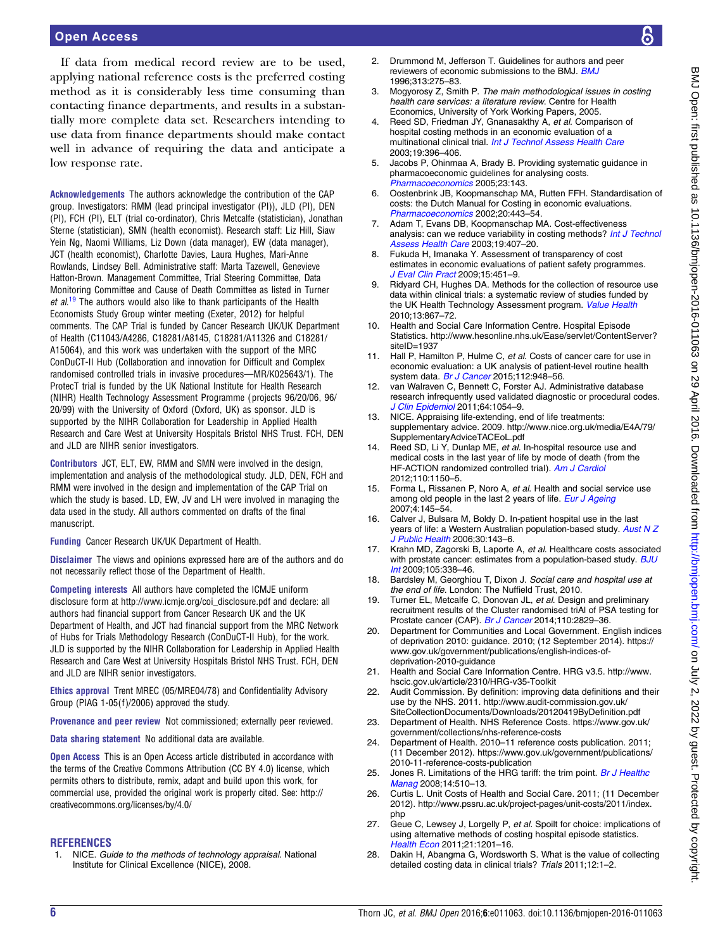# <span id="page-5-0"></span>Open Access

If data from medical record review are to be used, applying national reference costs is the preferred costing method as it is considerably less time consuming than contacting finance departments, and results in a substantially more complete data set. Researchers intending to use data from finance departments should make contact well in advance of requiring the data and anticipate a low response rate.

Acknowledgements The authors acknowledge the contribution of the CAP group. Investigators: RMM (lead principal investigator (PI)), JLD (PI), DEN (PI), FCH (PI), ELT (trial co-ordinator), Chris Metcalfe (statistician), Jonathan Sterne (statistician), SMN (health economist). Research staff: Liz Hill, Siaw Yein Ng, Naomi Williams, Liz Down (data manager), EW (data manager), JCT (health economist), Charlotte Davies, Laura Hughes, Mari-Anne Rowlands, Lindsey Bell. Administrative staff: Marta Tazewell, Genevieve Hatton-Brown. Management Committee, Trial Steering Committee, Data Monitoring Committee and Cause of Death Committee as listed in Turner et al.<sup>19</sup> The authors would also like to thank participants of the Health Economists Study Group winter meeting (Exeter, 2012) for helpful comments. The CAP Trial is funded by Cancer Research UK/UK Department of Health (C11043/A4286, C18281/A8145, C18281/A11326 and C18281/ A15064), and this work was undertaken with the support of the MRC ConDuCT-II Hub (Collaboration and innovation for Difficult and Complex randomised controlled trials in invasive procedures—MR/K025643/1). The ProtecT trial is funded by the UK National Institute for Health Research (NIHR) Health Technology Assessment Programme ( projects 96/20/06, 96/ 20/99) with the University of Oxford (Oxford, UK) as sponsor. JLD is supported by the NIHR Collaboration for Leadership in Applied Health Research and Care West at University Hospitals Bristol NHS Trust. FCH, DEN and JLD are NIHR senior investigators.

Contributors JCT, ELT, EW, RMM and SMN were involved in the design, implementation and analysis of the methodological study. JLD, DEN, FCH and RMM were involved in the design and implementation of the CAP Trial on which the study is based. LD, EW, JV and LH were involved in managing the data used in the study. All authors commented on drafts of the final manuscript.

Funding Cancer Research UK/UK Department of Health.

Disclaimer The views and opinions expressed here are of the authors and do not necessarily reflect those of the Department of Health.

Competing interests All authors have completed the ICMJE uniform disclosure form at [http://www.icmje.org/coi\\_disclosure.pdf](http://www.icmje.org/coi_disclosure.pdf) and declare: all authors had financial support from Cancer Research UK and the UK Department of Health, and JCT had financial support from the MRC Network of Hubs for Trials Methodology Research (ConDuCT-II Hub), for the work. JLD is supported by the NIHR Collaboration for Leadership in Applied Health Research and Care West at University Hospitals Bristol NHS Trust. FCH, DEN and JLD are NIHR senior investigators.

Ethics approval Trent MREC (05/MRE04/78) and Confidentiality Advisory Group (PIAG 1-05(f )/2006) approved the study.

Provenance and peer review Not commissioned; externally peer reviewed.

Data sharing statement No additional data are available.

Open Access This is an Open Access article distributed in accordance with the terms of the Creative Commons Attribution (CC BY 4.0) license, which permits others to distribute, remix, adapt and build upon this work, for commercial use, provided the original work is properly cited. See: [http://](http://creativecommons.org/licenses/by/4.0/) [creativecommons.org/licenses/by/4.0/](http://creativecommons.org/licenses/by/4.0/)

#### **REFERENCES**

NICE. Guide to the methods of technology appraisal. National Institute for Clinical Excellence (NICE), 2008.

- 2. Drummond M, Jefferson T. Guidelines for authors and peer reviewers of economic submissions to the [BMJ](http://dx.doi.org/10.1136/bmj.313.7052.275). BMJ 1996;313:275–83.
- 3. Mogyorosy Z, Smith P. The main methodological issues in costing health care services: a literature review. Centre for Health Economics, University of York Working Papers, 2005.
- Reed SD, Friedman JY, Gnanasakthy A, et al. Comparison of hospital costing methods in an economic evaluation of a multinational clinical trial. [Int J Technol Assess Health Care](http://dx.doi.org/10.1017/S0266462303000357) 2003;19:396–406.
- 5. Jacobs P, Ohinmaa A, Brady B. Providing systematic guidance in pharmacoeconomic guidelines for analysing costs. [Pharmacoeconomics](http://dx.doi.org/10.2165/00019053-200523020-00006) 2005;23:143.
- 6. Oostenbrink JB, Koopmanschap MA, Rutten FFH. Standardisation of costs: the Dutch Manual for Costing in economic evaluations. [Pharmacoeconomics](http://dx.doi.org/10.2165/00019053-200220070-00002) 2002;20:443–54.
- 7. Adam T, Evans DB, Koopmanschap MA. Cost-effectiveness analysis: can we reduce variability in costing methods? [Int J Technol](http://dx.doi.org/10.1017/S0266462303000369) [Assess Health Care](http://dx.doi.org/10.1017/S0266462303000369) 2003;19:407–20.
- 8. Fukuda H, Imanaka Y. Assessment of transparency of cost estimates in economic evaluations of patient safety programmes. [J Eval Clin Pract](http://dx.doi.org/10.1111/j.1365-2753.2008.01033.x) 2009;15:451–9.
- 9. Ridyard CH, Hughes DA. Methods for the collection of resource use data within clinical trials: a systematic review of studies funded by the UK Health Technology Assessment program. [Value Health](http://dx.doi.org/10.1111/j.1524-4733.2010.00788.x) 2010;13:867–72.
- 10. Health and Social Care Information Centre. Hospital Episode Statistics. [http://www.hesonline.nhs.uk/Ease/servlet/ContentServer?](http://www.hesonline.nhs.uk/Ease/servlet/ContentServer?siteID=1937) [siteID=1937](http://www.hesonline.nhs.uk/Ease/servlet/ContentServer?siteID=1937)
- 11. Hall P, Hamilton P, Hulme C, et al. Costs of cancer care for use in economic evaluation: a UK analysis of patient-level routine health system data. [Br J Cancer](http://dx.doi.org/10.1038/bjc.2014.644) 2015;112:948-56.
- 12. van Walraven C, Bennett C, Forster AJ. Administrative database research infrequently used validated diagnostic or procedural codes. [J Clin Epidemiol](http://dx.doi.org/10.1016/j.jclinepi.2011.01.001) 2011;64:1054–9.
- 13. NICE. Appraising life-extending, end of life treatments: supplementary advice. 2009. [http://www.nice.org.uk/media/E4A/79/](http://www.nice.org.uk/media/E4A/79/SupplementaryAdviceTACEoL.pdf) [SupplementaryAdviceTACEoL.pdf](http://www.nice.org.uk/media/E4A/79/SupplementaryAdviceTACEoL.pdf)
- 14. Reed SD, Li Y, Dunlap ME, et al. In-hospital resource use and medical costs in the last year of life by mode of death (from the HF-ACTION randomized controlled trial). [Am J Cardiol](http://dx.doi.org/10.1016/j.amjcard.2012.05.059) 2012;110:1150–5.
- 15. Forma L. Rissanen P. Noro A, et al. Health and social service use among old people in the last 2 years of life. [Eur J Ageing](http://dx.doi.org/10.1007/s10433-007-0054-4) 2007;4:145–54.
- 16. Calver J, Bulsara M, Boldy D. In-patient hospital use in the last years of life: a Western Australian population-based study. [Aust N Z](http://dx.doi.org/10.1111/j.1467-842X.2006.tb00107.x) [J Public Health](http://dx.doi.org/10.1111/j.1467-842X.2006.tb00107.x) 2006:30:143-6.
- 17. Krahn MD, Zagorski B, Laporte A, et al. Healthcare costs associated with prostate cancer: estimates from a population-based study. **[BJU](http://dx.doi.org/10.1111/j.1464-410X.2009.08758.x)** [Int](http://dx.doi.org/10.1111/j.1464-410X.2009.08758.x) 2009;105:338–46.
- 18. Bardsley M, Georghiou T, Dixon J. Social care and hospital use at the end of life. London: The Nuffield Trust, 2010.
- 19. Turner EL, Metcalfe C, Donovan JL, et al. Design and preliminary recruitment results of the Cluster randomised triAl of PSA testing for Prostate cancer (CAP). [Br J Cancer](http://dx.doi.org/10.1038/bjc.2014.242) 2014;110:2829-36.
- 20. Department for Communities and Local Government. English indices of deprivation 2010: guidance. 2010; (12 September 2014). [https://](https://www.gov.uk/government/publications/english-indices-of-deprivation-2010-guidance) [www.gov.uk/government/publications/english-indices-of](https://www.gov.uk/government/publications/english-indices-of-deprivation-2010-guidance)[deprivation-2010-guidance](https://www.gov.uk/government/publications/english-indices-of-deprivation-2010-guidance)
- 21. Health and Social Care Information Centre. HRG v3.5. [http://www.](http://www.hscic.gov.uk/article/2310/HRG-v35-Toolkit) [hscic.gov.uk/article/2310/HRG-v35-Toolkit](http://www.hscic.gov.uk/article/2310/HRG-v35-Toolkit)
- 22. Audit Commission. By definition: improving data definitions and their use by the NHS. 2011. [http://www.audit-commission.gov.uk/](http://www.audit-commission.gov.uk/SiteCollectionDocuments/Downloads/20120419ByDefinition.pdf) [SiteCollectionDocuments/Downloads/20120419ByDefinition.pdf](http://www.audit-commission.gov.uk/SiteCollectionDocuments/Downloads/20120419ByDefinition.pdf)
- 23. Department of Health. NHS Reference Costs. [https://www.gov.uk/](https://www.gov.uk/government/collections/nhs-reference-costs) [government/collections/nhs-reference-costs](https://www.gov.uk/government/collections/nhs-reference-costs)
- 24. Department of Health. 2010–11 reference costs publication. 2011; (11 December 2012). [https://www.gov.uk/government/publications/](https://www.gov.uk/government/publications/2010-11-reference-costs-publication) [2010-11-reference-costs-publication](https://www.gov.uk/government/publications/2010-11-reference-costs-publication)
- 25. Jones R. Limitations of the HRG tariff: the trim point. [Br J Healthc](http://dx.doi.org/10.12968/bjhc.2008.14.11.510) [Manag](http://dx.doi.org/10.12968/bjhc.2008.14.11.510) 2008;14:510–13.
- 26. Curtis L. Unit Costs of Health and Social Care. 2011; (11 December 2012). [http://www.pssru.ac.uk/project-pages/unit-costs/2011/index.](http://www.pssru.ac.uk/project-pages/unit-costs/2011/index.php) [php](http://www.pssru.ac.uk/project-pages/unit-costs/2011/index.php)
- 27. Geue C, Lewsey J, Lorgelly P, et al. Spoilt for choice: implications of using alternative methods of costing hospital episode statistics. [Health Econ](http://dx.doi.org/10.1002/hec.1785) 2011;21:1201–16.
- 28. Dakin H, Abangma G, Wordsworth S. What is the value of collecting detailed costing data in clinical trials? Trials 2011;12:1–2.